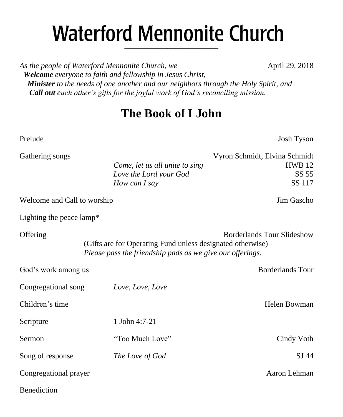# **Waterford Mennonite Church** \_\_\_\_\_\_\_\_\_\_\_\_\_\_\_\_\_\_\_\_\_\_\_\_

*As the people of Waterford Mennonite Church, we* **April 29, 2018**  *Welcome everyone to faith and fellowship in Jesus Christ, Minister to the needs of one another and our neighbors through the Holy Spirit, and Call out each other's gifts for the joyful work of God's reconciling mission.*

## **The Book of I John**

Prelude Josh Tyson

| <b>ORTIGHTE</b> SUILS       |                                                                                                                         | м угон эспини, тлупіа эспинис     |
|-----------------------------|-------------------------------------------------------------------------------------------------------------------------|-----------------------------------|
|                             | Come, let us all unite to sing                                                                                          | <b>HWB</b> 12                     |
|                             | Love the Lord your God                                                                                                  | SS 55                             |
|                             | How can I say                                                                                                           | SS 117                            |
| Welcome and Call to worship |                                                                                                                         | Jim Gascho                        |
| Lighting the peace lamp*    |                                                                                                                         |                                   |
| Offering                    | (Gifts are for Operating Fund unless designated otherwise)<br>Please pass the friendship pads as we give our offerings. | <b>Borderlands Tour Slideshow</b> |
| God's work among us         |                                                                                                                         | <b>Borderlands Tour</b>           |
| Congregational song         | Love, Love, Love                                                                                                        |                                   |
| Children's time             |                                                                                                                         | Helen Bowman                      |
| Scripture                   | 1 John 4:7-21                                                                                                           |                                   |
| Sermon                      | "Too Much Love"                                                                                                         | Cindy Voth                        |
| Song of response            | The Love of God                                                                                                         | SJ 44                             |
| Congregational prayer       |                                                                                                                         | Aaron Lehman                      |
| <b>Benediction</b>          |                                                                                                                         |                                   |

Gathering songs Vyron Schmidt, Elvina Schmidt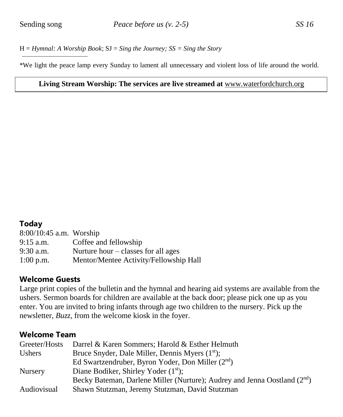H = *Hymnal: A Worship Book*; SJ = *Sing the Journey; SS = Sing the Story*

\*We light the peace lamp every Sunday to lament all unnecessary and violent loss of life around the world.

#### **Living Stream Worship: The services are live streamed at** [www.waterfordchurch.org](http://www.waterfordchurch.org/)

#### **Today**

| 8:00/10:45 a.m. Worship |                                             |
|-------------------------|---------------------------------------------|
| 9:15 a.m.               | Coffee and fellowship                       |
| 9:30 a.m.               | Nurture hour $-\text{classes}$ for all ages |
| $1:00$ p.m.             | Mentor/Mentee Activity/Fellowship Hall      |

#### **Welcome Guests**

Large print copies of the bulletin and the hymnal and hearing aid systems are available from the ushers. Sermon boards for children are available at the back door; please pick one up as you enter. You are invited to bring infants through age two children to the nursery. Pick up the newsletter, *Buzz,* from the welcome kiosk in the foyer.

#### **Welcome Team**

| Greeter/Hosts  | Darrel & Karen Sommers; Harold & Esther Helmuth                                       |
|----------------|---------------------------------------------------------------------------------------|
| Ushers         | Bruce Snyder, Dale Miller, Dennis Myers (1 <sup>st</sup> );                           |
|                | Ed Swartzendruber, Byron Yoder, Don Miller $(2nd)$                                    |
| <b>Nursery</b> | Diane Bodiker, Shirley Yoder $(1st)$ ;                                                |
|                | Becky Bateman, Darlene Miller (Nurture); Audrey and Jenna Oostland (2 <sup>nd</sup> ) |
| Audiovisual    | Shawn Stutzman, Jeremy Stutzman, David Stutzman                                       |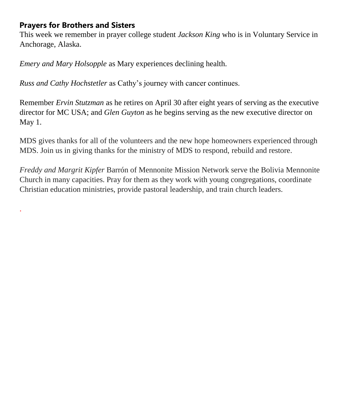## **Prayers for Brothers and Sisters**

.

This week we remember in prayer college student *Jackson King* who is in Voluntary Service in Anchorage, Alaska.

*Emery and Mary Holsopple* as Mary experiences declining health.

*Russ and Cathy Hochstetler* as Cathy's journey with cancer continues.

Remember *Ervin Stutzman* as he retires on April 30 after eight years of serving as the executive director for MC USA; and *Glen Guyton* as he begins serving as the new executive director on May 1.

MDS gives thanks for all of the volunteers and the new hope homeowners experienced through MDS. Join us in giving thanks for the ministry of MDS to respond, rebuild and restore.

*Freddy and Margrit Kipfer* Barrón of Mennonite Mission Network serve the Bolivia Mennonite Church in many capacities. Pray for them as they work with young congregations, coordinate Christian education ministries, provide pastoral leadership, and train church leaders.